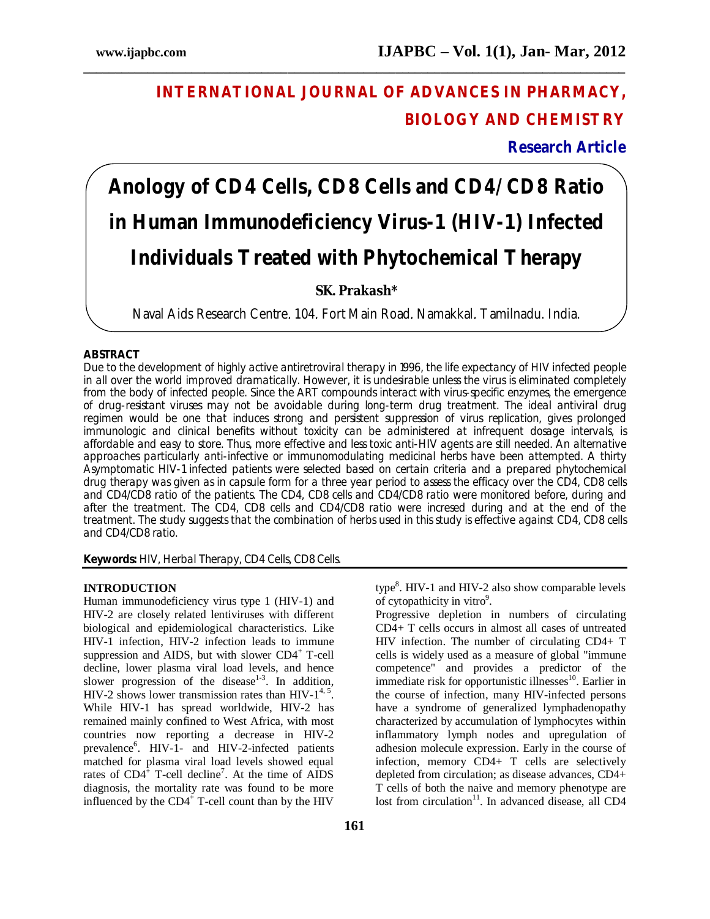# **INTERNATIONAL JOURNAL OF ADVANCES IN PHARMACY, BIOLOGY AND CHEMISTRY**

# **Research Article**

# **Anology of CD4 Cells, CD8 Cells and CD4/CD8 Ratio in Human Immunodeficiency Virus-1 (HIV-1) Infected Individuals Treated with Phytochemical Therapy**

**\_\_\_\_\_\_\_\_\_\_\_\_\_\_\_\_\_\_\_\_\_\_\_\_\_\_\_\_\_\_\_\_\_\_\_\_\_\_\_\_\_\_\_\_\_\_\_\_\_\_\_\_\_\_\_\_\_\_\_\_\_\_\_\_\_\_\_\_\_\_\_\_\_\_\_\_\_\_\_\_\_\_\_\_\_**

# **SK. Prakash\***

Naval Aids Research Centre, 104, Fort Main Road, Namakkal, Tamilnadu. India.

# **ABSTRACT**

Due to the development of highly active antiretroviral therapy in 1996, the life expectancy of HIV infected people in all over the world improved dramatically. However, it is undesirable unless the virus is eliminated completely from the body of infected people. Since the ART compounds interact with virus-specific enzymes, the emergence of drug-resistant viruses may not be avoidable during long-term drug treatment. The ideal antiviral drug regimen would be one that induces strong and persistent suppression of virus replication, gives prolonged immunologic and clinical benefits without toxicity can be administered at infrequent dosage intervals, is affordable and easy to store. Thus, more effective and less toxic anti-HIV agents are still needed. An alternative approaches particularly anti-infective or immunomodulating medicinal herbs have been attempted. A thirty Asymptomatic HIV-1 infected patients were selected based on certain criteria and a prepared phytochemical drug therapy was given as in capsule form for a three year period to assess the efficacy over the CD4, CD8 cells and CD4/CD8 ratio of the patients. The CD4, CD8 cells and CD4/CD8 ratio were monitored before, during and after the treatment. The CD4, CD8 cells and CD4/CD8 ratio were incresed during and at the end of the treatment. The study suggests that the combination of herbs used in this study is effective against CD4, CD8 cells and CD4/CD8 ratio.

**Keywords:** HIV, Herbal Therapy, CD4 Cells, CD8 Cells.

#### **INTRODUCTION**

Human immunodeficiency virus type 1 (HIV-1) and HIV-2 are closely related lentiviruses with different biological and epidemiological characteristics. Like HIV-1 infection, HIV-2 infection leads to immune suppression and AIDS, but with slower  $CD4^+$  T-cell decline, lower plasma viral load levels, and hence slower progression of the disease<sup>1-3</sup>. In addition, HIV-2 shows lower transmission rates than  $HIV-1^{4,5}$ . While HIV-1 has spread worldwide, HIV-2 has remained mainly confined to West Africa, with most countries now reporting a decrease in HIV-2 prevalence<sup>6</sup>. HIV-1- and HIV-2-infected patients matched for plasma viral load levels showed equal rates of  $CD4^{\frac{1}{2}}$  T-cell decline<sup>7</sup>. At the time of AIDS diagnosis, the mortality rate was found to be more influenced by the  $CD4^+$  T-cell count than by the HIV

type<sup>8</sup>. HIV-1 and HIV-2 also show comparable levels of cytopathicity in vitro<sup>9</sup>.

Progressive depletion in numbers of circulating CD4+ T cells occurs in almost all cases of untreated HIV infection. The number of circulating CD4+ T cells is widely used as a measure of global "immune competence" and provides a predictor of the immediate risk for opportunistic illnesses<sup>10</sup>. Earlier in the course of infection, many HIV-infected persons have a syndrome of generalized lymphadenopathy characterized by accumulation of lymphocytes within inflammatory lymph nodes and upregulation of adhesion molecule expression. Early in the course of infection, memory CD4+ T cells are selectively depleted from circulation; as disease advances, CD4+ T cells of both the naive and memory phenotype are lost from circulation<sup>11</sup>. In advanced disease, all CD4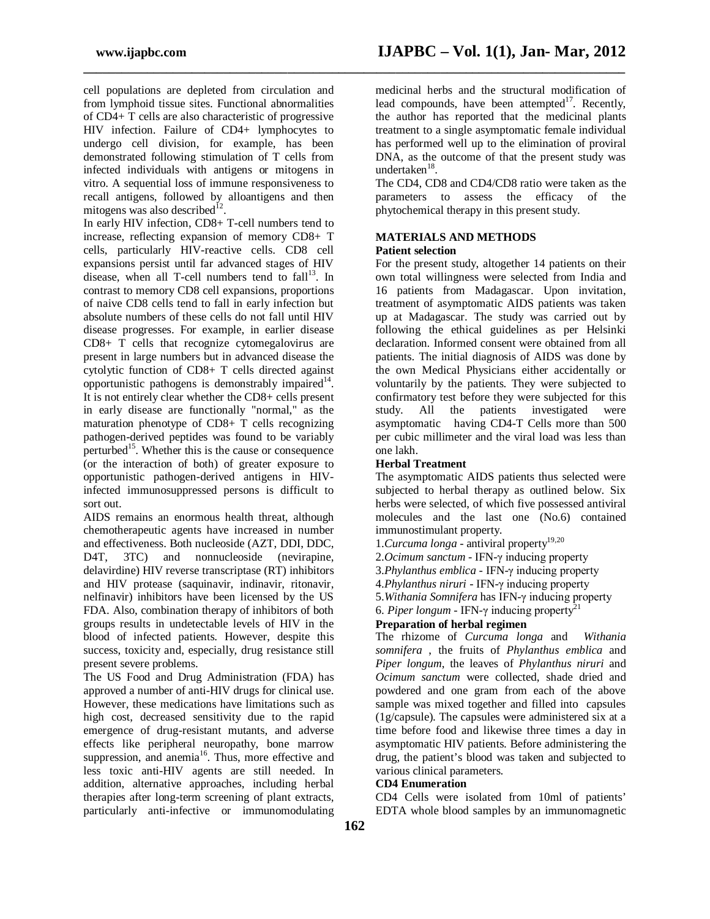cell populations are depleted from circulation and from lymphoid tissue sites. Functional abnormalities of CD4+ T cells are also characteristic of progressive HIV infection. Failure of CD4+ lymphocytes to undergo cell division, for example, has been demonstrated following stimulation of T cells from infected individuals with antigens or mitogens in vitro. A sequential loss of immune responsiveness to recall antigens, followed by alloantigens and then mitogens was also described $^{12}$ .

In early HIV infection, CD8+ T-cell numbers tend to increase, reflecting expansion of memory CD8+ T cells, particularly HIV-reactive cells. CD8 cell expansions persist until far advanced stages of HIV disease, when all T-cell numbers tend to  $fall<sup>13</sup>$ . In contrast to memory CD8 cell expansions, proportions of naive CD8 cells tend to fall in early infection but absolute numbers of these cells do not fall until HIV disease progresses. For example, in earlier disease CD8+ T cells that recognize cytomegalovirus are present in large numbers but in advanced disease the cytolytic function of CD8+ T cells directed against opportunistic pathogens is demonstrably impaired $14$ . It is not entirely clear whether the CD8+ cells present in early disease are functionally "normal," as the maturation phenotype of CD8+ T cells recognizing pathogen-derived peptides was found to be variably perturbed<sup>15</sup>. Whether this is the cause or consequence (or the interaction of both) of greater exposure to opportunistic pathogen-derived antigens in HIVinfected immunosuppressed persons is difficult to sort out.

AIDS remains an enormous health threat, although chemotherapeutic agents have increased in number and effectiveness. Both nucleoside (AZT, DDI, DDC, D<sub>4</sub>T, 3TC) and nonnucleoside (nevirapine, delavirdine) HIV reverse transcriptase (RT) inhibitors and HIV protease (saquinavir, indinavir, ritonavir, nelfinavir) inhibitors have been licensed by the US FDA. Also, combination therapy of inhibitors of both groups results in undetectable levels of HIV in the blood of infected patients. However, despite this success, toxicity and, especially, drug resistance still present severe problems.

The US Food and Drug Administration (FDA) has approved a number of anti-HIV drugs for clinical use. However, these medications have limitations such as high cost, decreased sensitivity due to the rapid emergence of drug-resistant mutants, and adverse effects like peripheral neuropathy, bone marrow suppression, and anemia<sup>16</sup>. Thus, more effective and less toxic anti-HIV agents are still needed. In addition, alternative approaches, including herbal therapies after long-term screening of plant extracts, particularly anti-infective or immunomodulating

medicinal herbs and the structural modification of lead compounds, have been attempted $17$ . Recently, the author has reported that the medicinal plants treatment to a single asymptomatic female individual has performed well up to the elimination of proviral DNA, as the outcome of that the present study was undertaken<sup>18</sup>.

The CD4, CD8 and CD4/CD8 ratio were taken as the parameters to assess the efficacy of the phytochemical therapy in this present study.

# **MATERIALS AND METHODS Patient selection**

**\_\_\_\_\_\_\_\_\_\_\_\_\_\_\_\_\_\_\_\_\_\_\_\_\_\_\_\_\_\_\_\_\_\_\_\_\_\_\_\_\_\_\_\_\_\_\_\_\_\_\_\_\_\_\_\_\_\_\_\_\_\_\_\_\_\_\_\_\_\_\_\_\_\_\_\_\_\_\_\_\_\_\_\_\_**

For the present study, altogether 14 patients on their own total willingness were selected from India and 16 patients from Madagascar. Upon invitation, treatment of asymptomatic AIDS patients was taken up at Madagascar. The study was carried out by following the ethical guidelines as per Helsinki declaration. Informed consent were obtained from all patients. The initial diagnosis of AIDS was done by the own Medical Physicians either accidentally or voluntarily by the patients. They were subjected to confirmatory test before they were subjected for this study. All the patients investigated were asymptomatic having CD4-T Cells more than 500 per cubic millimeter and the viral load was less than one lakh.

# **Herbal Treatment**

The asymptomatic AIDS patients thus selected were subjected to herbal therapy as outlined below. Six herbs were selected, of which five possessed antiviral molecules and the last one (No.6) contained immunostimulant property.

- 1.*Curcuma longa* antiviral property<sup>19,20</sup>
- 2.*Ocimum sanctum* IFN-γ inducing property
- 3.*Phylanthus emblica* IFN-γ inducing property

4.*Phylanthus niruri* - IFN-γ inducing property

- 5.*Withania Somnifera* has IFN-γ inducing property
- 6. *Piper longum* IFN- $\gamma$  inducing property<sup>2</sup>

# **Preparation of herbal regimen**

The rhizome of *Curcuma longa* and *Withania somnifera* , the fruits of *Phylanthus emblica* and *Piper longum*, the leaves of *Phylanthus niruri* and *Ocimum sanctum* were collected, shade dried and powdered and one gram from each of the above sample was mixed together and filled into capsules (1g/capsule). The capsules were administered six at a time before food and likewise three times a day in asymptomatic HIV patients. Before administering the drug, the patient's blood was taken and subjected to various clinical parameters.

# **CD4 Enumeration**

CD4 Cells were isolated from 10ml of patients' EDTA whole blood samples by an immunomagnetic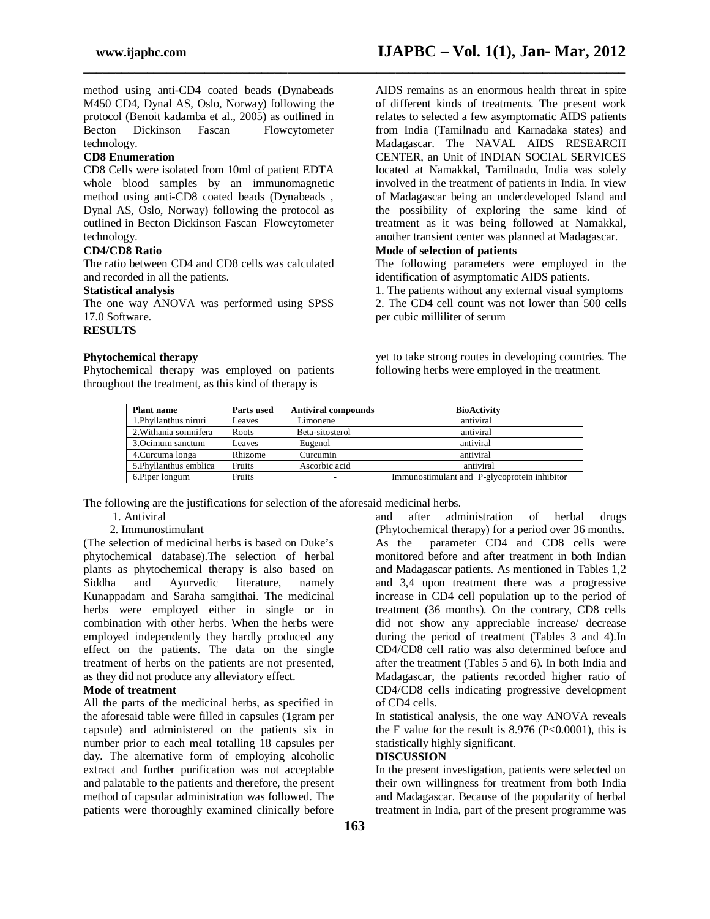method using anti-CD4 coated beads (Dynabeads M450 CD4, Dynal AS, Oslo, Norway) following the protocol (Benoit kadamba et al., 2005) as outlined in Becton Dickinson Fascan Flowcytometer technology.

#### **CD8 Enumeration**

CD8 Cells were isolated from 10ml of patient EDTA whole blood samples by an immunomagnetic method using anti-CD8 coated beads (Dynabeads , Dynal AS, Oslo, Norway) following the protocol as outlined in Becton Dickinson Fascan Flowcytometer technology.

### **CD4/CD8 Ratio**

The ratio between CD4 and CD8 cells was calculated and recorded in all the patients.

#### **Statistical analysis**

The one way ANOVA was performed using SPSS 17.0 Software.

**RESULTS**

# **Phytochemical therapy**

Phytochemical therapy was employed on patients throughout the treatment, as this kind of therapy is

AIDS remains as an enormous health threat in spite of different kinds of treatments. The present work relates to selected a few asymptomatic AIDS patients from India (Tamilnadu and Karnadaka states) and Madagascar. The NAVAL AIDS RESEARCH CENTER, an Unit of INDIAN SOCIAL SERVICES located at Namakkal, Tamilnadu, India was solely involved in the treatment of patients in India. In view of Madagascar being an underdeveloped Island and the possibility of exploring the same kind of treatment as it was being followed at Namakkal, another transient center was planned at Madagascar.

# **Mode of selection of patients**

The following parameters were employed in the identification of asymptomatic AIDS patients.

1. The patients without any external visual symptoms 2. The CD4 cell count was not lower than 500 cells per cubic milliliter of serum

yet to take strong routes in developing countries. The following herbs were employed in the treatment.

| <b>Plant name</b>      | Parts used | <b>Antiviral compounds</b> | <b>BioActivity</b>                           |
|------------------------|------------|----------------------------|----------------------------------------------|
| 1. Phyllanthus niruri  | Leaves     | Limonene                   | antiviral                                    |
| 2. Withania somnifera  | Roots      | Beta-sitosterol            | antiviral                                    |
| 3. Ocimum sanctum      | Leaves     | Eugenol                    | antiviral                                    |
| 4. Curcuma longa       | Rhizome    | Curcumin                   | antiviral                                    |
| 5. Phyllanthus emblica | Fruits     | Ascorbic acid              | antiviral                                    |
| 6. Piper longum        | Fruits     | ۰                          | Immunostimulant and P-glycoprotein inhibitor |

**\_\_\_\_\_\_\_\_\_\_\_\_\_\_\_\_\_\_\_\_\_\_\_\_\_\_\_\_\_\_\_\_\_\_\_\_\_\_\_\_\_\_\_\_\_\_\_\_\_\_\_\_\_\_\_\_\_\_\_\_\_\_\_\_\_\_\_\_\_\_\_\_\_\_\_\_\_\_\_\_\_\_\_\_\_**

The following are the justifications for selection of the aforesaid medicinal herbs.

# 1. Antiviral

#### 2. Immunostimulant

(The selection of medicinal herbs is based on Duke's phytochemical database).The selection of herbal plants as phytochemical therapy is also based on Siddha and Ayurvedic literature, namely Kunappadam and Saraha samgithai. The medicinal herbs were employed either in single or in combination with other herbs. When the herbs were employed independently they hardly produced any effect on the patients. The data on the single treatment of herbs on the patients are not presented, as they did not produce any alleviatory effect.

# **Mode of treatment**

All the parts of the medicinal herbs, as specified in the aforesaid table were filled in capsules (1gram per capsule) and administered on the patients six in number prior to each meal totalling 18 capsules per day. The alternative form of employing alcoholic extract and further purification was not acceptable and palatable to the patients and therefore, the present method of capsular administration was followed. The patients were thoroughly examined clinically before and after administration of herbal drugs (Phytochemical therapy) for a period over 36 months. As the parameter CD4 and CD8 cells were monitored before and after treatment in both Indian and Madagascar patients. As mentioned in Tables 1,2 and 3,4 upon treatment there was a progressive increase in CD4 cell population up to the period of treatment (36 months). On the contrary, CD8 cells did not show any appreciable increase/ decrease during the period of treatment (Tables 3 and 4).In CD4/CD8 cell ratio was also determined before and after the treatment (Tables 5 and 6). In both India and Madagascar, the patients recorded higher ratio of CD4/CD8 cells indicating progressive development of CD4 cells.

In statistical analysis, the one way ANOVA reveals the F value for the result is  $8.976$  (P<0.0001), this is statistically highly significant.

#### **DISCUSSION**

In the present investigation, patients were selected on their own willingness for treatment from both India and Madagascar. Because of the popularity of herbal treatment in India, part of the present programme was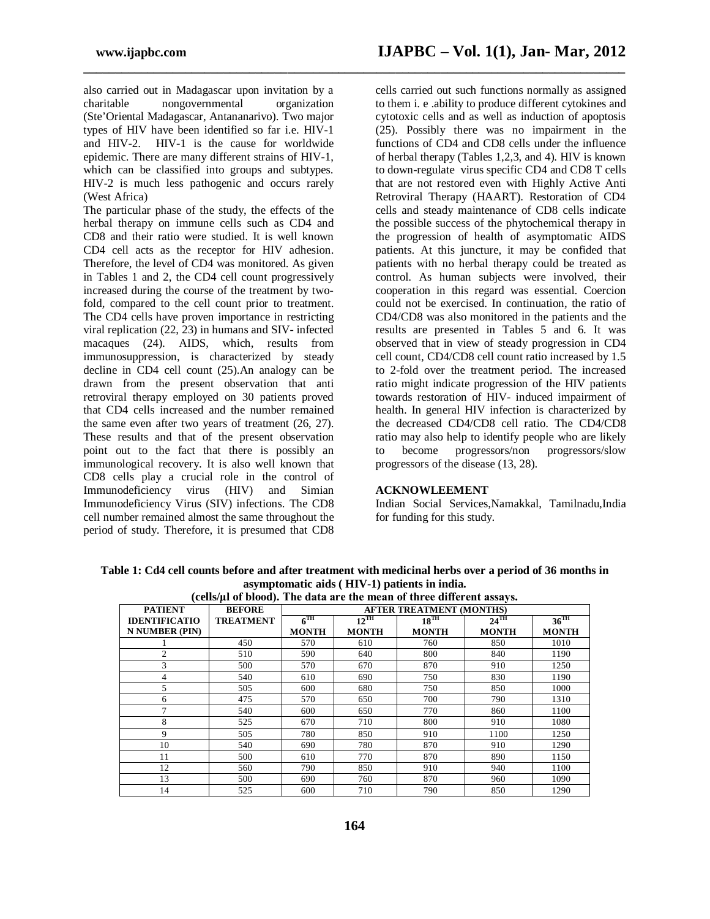also carried out in Madagascar upon invitation by a charitable nongovernmental organization (Ste'Oriental Madagascar, Antananarivo). Two major types of HIV have been identified so far i.e. HIV-1 and HIV-2. HIV-1 is the cause for worldwide epidemic. There are many different strains of HIV-1, which can be classified into groups and subtypes. HIV-2 is much less pathogenic and occurs rarely (West Africa)

The particular phase of the study, the effects of the herbal therapy on immune cells such as CD4 and CD8 and their ratio were studied. It is well known CD4 cell acts as the receptor for HIV adhesion. Therefore, the level of CD4 was monitored. As given in Tables 1 and 2, the CD4 cell count progressively increased during the course of the treatment by twofold, compared to the cell count prior to treatment. The CD4 cells have proven importance in restricting viral replication (22, 23) in humans and SIV- infected macaques (24). AIDS, which, results from immunosuppression, is characterized by steady decline in CD4 cell count (25).An analogy can be drawn from the present observation that anti retroviral therapy employed on 30 patients proved that CD4 cells increased and the number remained the same even after two years of treatment (26, 27). These results and that of the present observation point out to the fact that there is possibly an immunological recovery. It is also well known that CD8 cells play a crucial role in the control of Immunodeficiency virus (HIV) and Simian Immunodeficiency Virus (SIV) infections. The CD8 cell number remained almost the same throughout the period of study. Therefore, it is presumed that CD8

cells carried out such functions normally as assigned to them i. e .ability to produce different cytokines and cytotoxic cells and as well as induction of apoptosis (25). Possibly there was no impairment in the functions of CD4 and CD8 cells under the influence of herbal therapy (Tables 1,2,3, and 4). HIV is known to down-regulate virus specific CD4 and CD8 T cells that are not restored even with Highly Active Anti Retroviral Therapy (HAART). Restoration of CD4 cells and steady maintenance of CD8 cells indicate the possible success of the phytochemical therapy in the progression of health of asymptomatic AIDS patients. At this juncture, it may be confided that patients with no herbal therapy could be treated as control. As human subjects were involved, their cooperation in this regard was essential. Coercion could not be exercised. In continuation, the ratio of CD4/CD8 was also monitored in the patients and the results are presented in Tables 5 and 6. It was observed that in view of steady progression in CD4 cell count, CD4/CD8 cell count ratio increased by 1.5 to 2-fold over the treatment period. The increased ratio might indicate progression of the HIV patients towards restoration of HIV- induced impairment of health. In general HIV infection is characterized by the decreased CD4/CD8 cell ratio. The CD4/CD8 ratio may also help to identify people who are likely to become progressors/non progressors/slow progressors of the disease (13, 28).

#### **ACKNOWLEEMENT**

Indian Social Services,Namakkal, Tamilnadu,India for funding for this study.

**Table 1: Cd4 cell counts before and after treatment with medicinal herbs over a period of 36 months in asymptomatic aids ( HIV-1) patients in india.**

**\_\_\_\_\_\_\_\_\_\_\_\_\_\_\_\_\_\_\_\_\_\_\_\_\_\_\_\_\_\_\_\_\_\_\_\_\_\_\_\_\_\_\_\_\_\_\_\_\_\_\_\_\_\_\_\_\_\_\_\_\_\_\_\_\_\_\_\_\_\_\_\_\_\_\_\_\_\_\_\_\_\_\_\_\_**

| (cells/µl of blood). The data are the mean of three different assays. |                  |                 |                                 |              |                    |                    |  |  |
|-----------------------------------------------------------------------|------------------|-----------------|---------------------------------|--------------|--------------------|--------------------|--|--|
| <b>PATIENT</b>                                                        | <b>BEFORE</b>    |                 | <b>AFTER TREATMENT (MONTHS)</b> |              |                    |                    |  |  |
| <b>IDENTIFICATIO</b>                                                  | <b>TREATMENT</b> | $6^{\text{TH}}$ | $12^{\text{TH}}$                | $18^{TH}$    | $24$ <sup>TH</sup> | $36$ <sup>TH</sup> |  |  |
| <b>N NUMBER (PIN)</b>                                                 |                  | <b>MONTH</b>    | <b>MONTH</b>                    | <b>MONTH</b> | <b>MONTH</b>       | <b>MONTH</b>       |  |  |
|                                                                       | 450              | 570             | 610                             | 760          | 850                | 1010               |  |  |
| $\overline{c}$                                                        | 510              | 590             | 640                             | 800          | 840                | 1190               |  |  |
| 3                                                                     | 500              | 570             | 670                             | 870          | 910                | 1250               |  |  |
| 4                                                                     | 540              | 610             | 690                             | 750          | 830                | 1190               |  |  |
| 5                                                                     | 505              | 600             | 680                             | 750          | 850                | 1000               |  |  |
| 6                                                                     | 475              | 570             | 650                             | 700          | 790                | 1310               |  |  |
| 7                                                                     | 540              | 600             | 650                             | 770          | 860                | 1100               |  |  |
| 8                                                                     | 525              | 670             | 710                             | 800          | 910                | 1080               |  |  |
| 9                                                                     | 505              | 780             | 850                             | 910          | 1100               | 1250               |  |  |
| 10                                                                    | 540              | 690             | 780                             | 870          | 910                | 1290               |  |  |
| 11                                                                    | 500              | 610             | 770                             | 870          | 890                | 1150               |  |  |
| 12                                                                    | 560              | 790             | 850                             | 910          | 940                | 1100               |  |  |
| 13                                                                    | 500              | 690             | 760                             | 870          | 960                | 1090               |  |  |
| 14                                                                    | 525              | 600             | 710                             | 790          | 850                | 1290               |  |  |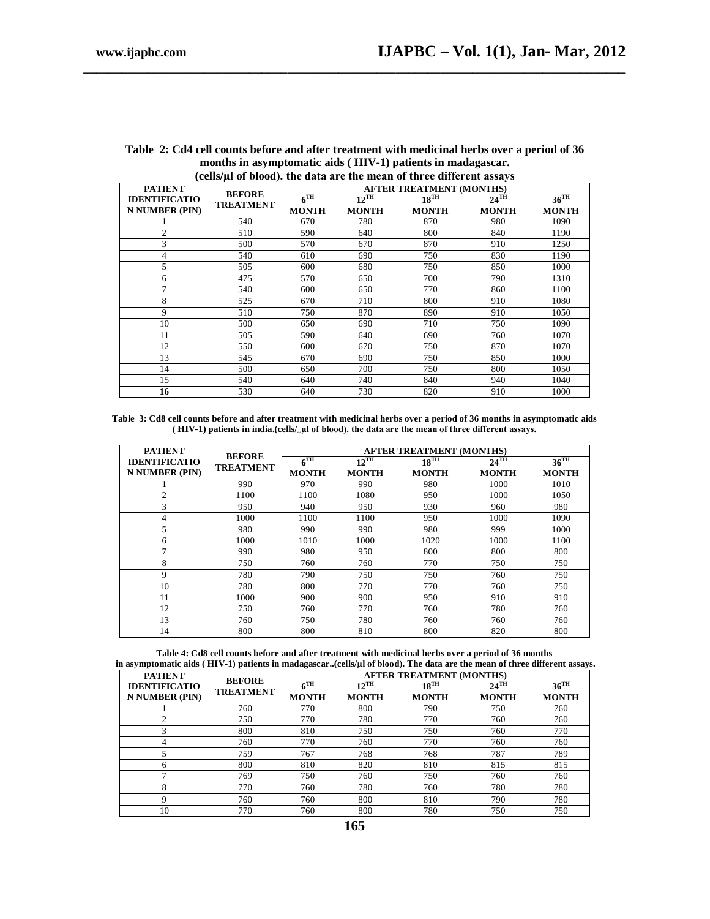|                       | (cens) ar or brown, the uata are the mean or three unicrem assays<br><b>AFTER TREATMENT (MONTHS)</b> |                    |                  |                  |                  |                    |
|-----------------------|------------------------------------------------------------------------------------------------------|--------------------|------------------|------------------|------------------|--------------------|
| <b>PATIENT</b>        | <b>BEFORE</b>                                                                                        |                    |                  |                  |                  |                    |
| <b>IDENTIFICATIO</b>  |                                                                                                      | $\sqrt{\text{TH}}$ | $12^{\text{TH}}$ | $18^{\text{TH}}$ | $24^{\text{TH}}$ | $36$ <sup>TH</sup> |
| <b>N NUMBER (PIN)</b> | <b>TREATMENT</b>                                                                                     | <b>MONTH</b>       | <b>MONTH</b>     | <b>MONTH</b>     | <b>MONTH</b>     | <b>MONTH</b>       |
|                       | 540                                                                                                  | 670                | 780              | 870              | 980              | 1090               |
| $\mathfrak{D}$        | 510                                                                                                  | 590                | 640              | 800              | 840              | 1190               |
| 3                     | 500                                                                                                  | 570                | 670              | 870              | 910              | 1250               |
| 4                     | 540                                                                                                  | 610                | 690              | 750              | 830              | 1190               |
| 5                     | 505                                                                                                  | 600                | 680              | 750              | 850              | 1000               |
| 6                     | 475                                                                                                  | 570                | 650              | 700              | 790              | 1310               |
| 7                     | 540                                                                                                  | 600                | 650              | 770              | 860              | 1100               |
| 8                     | 525                                                                                                  | 670                | 710              | 800              | 910              | 1080               |
| 9                     | 510                                                                                                  | 750                | 870              | 890              | 910              | 1050               |
| 10                    | 500                                                                                                  | 650                | 690              | 710              | 750              | 1090               |
| 11                    | 505                                                                                                  | 590                | 640              | 690              | 760              | 1070               |
| 12                    | 550                                                                                                  | 600                | 670              | 750              | 870              | 1070               |
| 13                    | 545                                                                                                  | 670                | 690              | 750              | 850              | 1000               |
| 14                    | 500                                                                                                  | 650                | 700              | 750              | 800              | 1050               |
| 15                    | 540                                                                                                  | 640                | 740              | 840              | 940              | 1040               |
| 16                    | 530                                                                                                  | 640                | 730              | 820              | 910              | 1000               |

#### **Table 2: Cd4 cell counts before and after treatment with medicinal herbs over a period of 36 months in asymptomatic aids ( HIV-1) patients in madagascar. (cells/**ٕ**µl of blood). the data are the mean of three different assays**

**\_\_\_\_\_\_\_\_\_\_\_\_\_\_\_\_\_\_\_\_\_\_\_\_\_\_\_\_\_\_\_\_\_\_\_\_\_\_\_\_\_\_\_\_\_\_\_\_\_\_\_\_\_\_\_\_\_\_\_\_\_\_\_\_\_\_\_\_\_\_\_\_\_\_\_\_\_\_\_\_\_\_\_\_\_**

**Table 3: Cd8 cell counts before and after treatment with medicinal herbs over a period of 36 months in asymptomatic aids ( HIV-1) patients in india.(cells/ٕٕµl of blood). the data are the mean of three different assays.**

| <b>PATIENT</b>                                | <b>AFTER TREATMENT (MONTHS)</b><br><b>BEFORE</b> |                    |                                  |                           |                                    |                                  |
|-----------------------------------------------|--------------------------------------------------|--------------------|----------------------------------|---------------------------|------------------------------------|----------------------------------|
| <b>IDENTIFICATIO</b><br><b>N NUMBER (PIN)</b> | <b>TREATMENT</b>                                 | ∠™<br><b>MONTH</b> | $12^{\text{TH}}$<br><b>MONTH</b> | $18^{TH}$<br><b>MONTH</b> | $24$ <sup>TH</sup><br><b>MONTH</b> | $36^{\text{TH}}$<br><b>MONTH</b> |
|                                               | 990                                              | 970                | 990                              | 980                       | 1000                               | 1010                             |
| $\overline{c}$                                | 1100                                             | 1100               | 1080                             | 950                       | 1000                               | 1050                             |
| 3                                             | 950                                              | 940                | 950                              | 930                       | 960                                | 980                              |
| 4                                             | 1000                                             | 1100               | 1100                             | 950                       | 1000                               | 1090                             |
| 5                                             | 980                                              | 990                | 990                              | 980                       | 999                                | 1000                             |
| 6                                             | 1000                                             | 1010               | 1000                             | 1020                      | 1000                               | 1100                             |
| ⇁                                             | 990                                              | 980                | 950                              | 800                       | 800                                | 800                              |
| 8                                             | 750                                              | 760                | 760                              | 770                       | 750                                | 750                              |
| 9                                             | 780                                              | 790                | 750                              | 750                       | 760                                | 750                              |
| 10                                            | 780                                              | 800                | 770                              | 770                       | 760                                | 750                              |
| 11                                            | 1000                                             | 900                | 900                              | 950                       | 910                                | 910                              |
| 12                                            | 750                                              | 760                | 770                              | 760                       | 780                                | 760                              |
| 13                                            | 760                                              | 750                | 780                              | 760                       | 760                                | 760                              |
| 14                                            | 800                                              | 800                | 810                              | 800                       | 820                                | 800                              |

|                                                                                                                          | Table 4: Cd8 cell counts before and after treatment with medicinal herbs over a period of 36 months |  |  |
|--------------------------------------------------------------------------------------------------------------------------|-----------------------------------------------------------------------------------------------------|--|--|
| in asymptomatic aids (HIV-1) patients in madagascar(cells/µl of blood). The data are the mean of three different assays. |                                                                                                     |  |  |

| <b>PATIENT</b>        | <b>AFTER TREATMENT (MONTHS)</b><br><b>BEFORE</b> |              |                  |              |                    |                    |
|-----------------------|--------------------------------------------------|--------------|------------------|--------------|--------------------|--------------------|
| <b>IDENTIFICATIO</b>  |                                                  | $\sqrt{1}$ H | $12^{\text{TH}}$ | $18^{TH}$    | $24$ <sup>TH</sup> | $36$ <sup>TH</sup> |
| <b>N NUMBER (PIN)</b> | <b>TREATMENT</b>                                 | <b>MONTH</b> | <b>MONTH</b>     | <b>MONTH</b> | <b>MONTH</b>       | <b>MONTH</b>       |
|                       | 760                                              | 770          | 800              | 790          | 750                | 760                |
| ↑                     | 750                                              | 770          | 780              | 770          | 760                | 760                |
| 3                     | 800                                              | 810          | 750              | 750          | 760                | 770                |
| 4                     | 760                                              | 770          | 760              | 770          | 760                | 760                |
|                       | 759                                              | 767          | 768              | 768          | 787                | 789                |
| 6                     | 800                                              | 810          | 820              | 810          | 815                | 815                |
| ⇁                     | 769                                              | 750          | 760              | 750          | 760                | 760                |
| 8                     | 770                                              | 760          | 780              | 760          | 780                | 780                |
| Q                     | 760                                              | 760          | 800              | 810          | 790                | 780                |
| 10                    | 770                                              | 760          | 800              | 780          | 750                | 750                |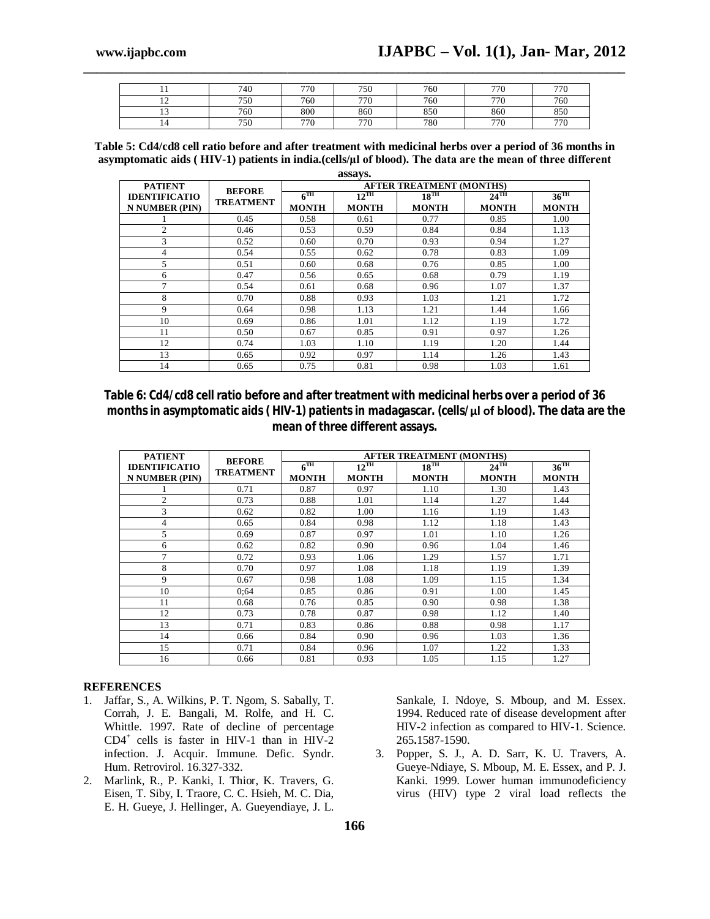|               | 740 | 770 | 750 | 760 | 770 | 770 |
|---------------|-----|-----|-----|-----|-----|-----|
| $\sim$<br>. . | 750 | 760 | 770 | 760 | 770 | 760 |
| $\sim$        | 760 | 800 | 860 | 850 | 860 | 850 |
| . .           | 750 | 770 | 770 | 780 | 770 | 770 |

**\_\_\_\_\_\_\_\_\_\_\_\_\_\_\_\_\_\_\_\_\_\_\_\_\_\_\_\_\_\_\_\_\_\_\_\_\_\_\_\_\_\_\_\_\_\_\_\_\_\_\_\_\_\_\_\_\_\_\_\_\_\_\_\_\_\_\_\_\_\_\_\_\_\_\_\_\_\_\_\_\_\_\_\_\_**

**Table 5: Cd4/cd8 cell ratio before and after treatment with medicinal herbs over a period of 36 months in asymptomatic aids ( HIV-1) patients in india.(cells/**ٕ**µl of blood). The data are the mean of three different** 

| assays.              |                                   |                 |                                 |              |                    |                    |  |  |
|----------------------|-----------------------------------|-----------------|---------------------------------|--------------|--------------------|--------------------|--|--|
| <b>PATIENT</b>       |                                   |                 | <b>AFTER TREATMENT (MONTHS)</b> |              |                    |                    |  |  |
| <b>IDENTIFICATIO</b> | <b>BEFORE</b><br><b>TREATMENT</b> | $6^{\text{TH}}$ | $12^{\text{TH}}$                | $18^{TH}$    | $24$ <sup>TH</sup> | $36$ <sup>TH</sup> |  |  |
| N NUMBER (PIN)       |                                   | <b>MONTH</b>    | <b>MONTH</b>                    | <b>MONTH</b> | <b>MONTH</b>       | <b>MONTH</b>       |  |  |
|                      | 0.45                              | 0.58            | 0.61                            | 0.77         | 0.85               | 1.00               |  |  |
| 2                    | 0.46                              | 0.53            | 0.59                            | 0.84         | 0.84               | 1.13               |  |  |
| 3                    | 0.52                              | 0.60            | 0.70                            | 0.93         | 0.94               | 1.27               |  |  |
| 4                    | 0.54                              | 0.55            | 0.62                            | 0.78         | 0.83               | 1.09               |  |  |
| 5                    | 0.51                              | 0.60            | 0.68                            | 0.76         | 0.85               | 1.00               |  |  |
| 6                    | 0.47                              | 0.56            | 0.65                            | 0.68         | 0.79               | 1.19               |  |  |
| 7                    | 0.54                              | 0.61            | 0.68                            | 0.96         | 1.07               | 1.37               |  |  |
| 8                    | 0.70                              | 0.88            | 0.93                            | 1.03         | 1.21               | 1.72               |  |  |
| 9                    | 0.64                              | 0.98            | 1.13                            | 1.21         | 1.44               | 1.66               |  |  |
| 10                   | 0.69                              | 0.86            | 1.01                            | 1.12         | 1.19               | 1.72               |  |  |
| 11                   | 0.50                              | 0.67            | 0.85                            | 0.91         | 0.97               | 1.26               |  |  |
| 12                   | 0.74                              | 1.03            | 1.10                            | 1.19         | 1.20               | 1.44               |  |  |
| 13                   | 0.65                              | 0.92            | 0.97                            | 1.14         | 1.26               | 1.43               |  |  |
| 14                   | 0.65                              | 0.75            | 0.81                            | 0.98         | 1.03               | 1.61               |  |  |

**Table 6: Cd4/cd8 cell ratio before and after treatment with medicinal herbs over a period of 36 months in asymptomatic aids ( HIV-1) patients in madagascar. (cells/**ٕ**µl of blood). The data are the mean of three different assays.**

| <b>PATIENT</b>        | <b>BEFORE</b>    | <b>AFTER TREATMENT (MONTHS)</b> |                  |              |                    |                    |  |
|-----------------------|------------------|---------------------------------|------------------|--------------|--------------------|--------------------|--|
| <b>IDENTIFICATIO</b>  | <b>TREATMENT</b> | $6^{\text{TH}}$                 | $12^{\text{TH}}$ | $18^{TH}$    | $24$ <sup>TH</sup> | $36$ <sup>TH</sup> |  |
| <b>N NUMBER (PIN)</b> |                  | <b>MONTH</b>                    | <b>MONTH</b>     | <b>MONTH</b> | <b>MONTH</b>       | <b>MONTH</b>       |  |
|                       | 0.71             | 0.87                            | 0.97             | 1.10         | 1.30               | 1.43               |  |
| $\overline{2}$        | 0.73             | 0.88                            | 1.01             | 1.14         | 1.27               | 1.44               |  |
| 3                     | 0.62             | 0.82                            | 1.00             | 1.16         | 1.19               | 1.43               |  |
| 4                     | 0.65             | 0.84                            | 0.98             | 1.12         | 1.18               | 1.43               |  |
| 5                     | 0.69             | 0.87                            | 0.97             | 1.01         | 1.10               | 1.26               |  |
| 6                     | 0.62             | 0.82                            | 0.90             | 0.96         | 1.04               | 1.46               |  |
| 7                     | 0.72             | 0.93                            | 1.06             | 1.29         | 1.57               | 1.71               |  |
| 8                     | 0.70             | 0.97                            | 1.08             | 1.18         | 1.19               | 1.39               |  |
| 9                     | 0.67             | 0.98                            | 1.08             | 1.09         | 1.15               | 1.34               |  |
| 10                    | 0:64             | 0.85                            | 0.86             | 0.91         | 1.00               | 1.45               |  |
| 11                    | 0.68             | 0.76                            | 0.85             | 0.90         | 0.98               | 1.38               |  |
| 12                    | 0.73             | 0.78                            | 0.87             | 0.98         | 1.12               | 1.40               |  |
| 13                    | 0.71             | 0.83                            | 0.86             | 0.88         | 0.98               | 1.17               |  |
| 14                    | 0.66             | 0.84                            | 0.90             | 0.96         | 1.03               | 1.36               |  |
| 15                    | 0.71             | 0.84                            | 0.96             | 1.07         | 1.22               | 1.33               |  |
| 16                    | 0.66             | 0.81                            | 0.93             | 1.05         | 1.15               | 1.27               |  |

#### **REFERENCES**

- 1. Jaffar, S., A. Wilkins, P. T. Ngom, S. Sabally, T. Corrah, J. E. Bangali, M. Rolfe, and H. C. Whittle. 1997. Rate of decline of percentage CD4<sup>+</sup> cells is faster in HIV-1 than in HIV-2 infection. J. Acquir. Immune. Defic. Syndr. Hum. Retrovirol. 16.327-332.
- 2. Marlink, R., P. Kanki, I. Thior, K. Travers, G. Eisen, T. Siby, I. Traore, C. C. Hsieh, M. C. Dia, E. H. Gueye, J. Hellinger, A. Gueyendiaye, J. L.

Sankale, I. Ndoye, S. Mboup, and M. Essex. 1994. Reduced rate of disease development after HIV-2 infection as compared to HIV-1. Science. 265**.**1587-1590.

3. Popper, S. J., A. D. Sarr, K. U. Travers, A. Gueye-Ndiaye, S. Mboup, M. E. Essex, and P. J. Kanki. 1999. Lower human immunodeficiency virus (HIV) type 2 viral load reflects the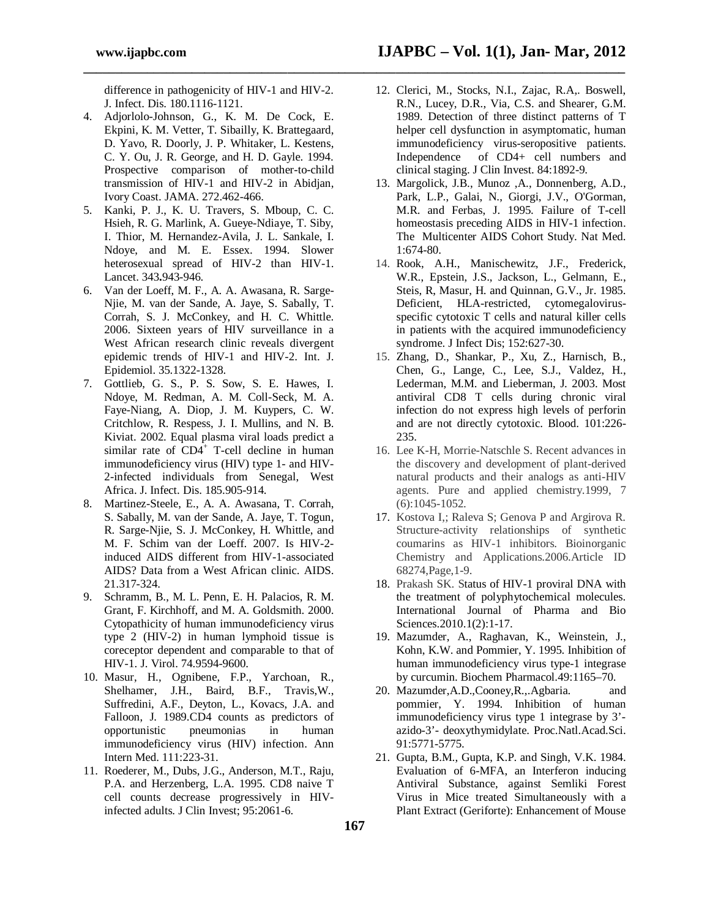difference in pathogenicity of HIV-1 and HIV-2. J. Infect. Dis. 180.1116-1121.

**\_\_\_\_\_\_\_\_\_\_\_\_\_\_\_\_\_\_\_\_\_\_\_\_\_\_\_\_\_\_\_\_\_\_\_\_\_\_\_\_\_\_\_\_\_\_\_\_\_\_\_\_\_\_\_\_\_\_\_\_\_\_\_\_\_\_\_\_\_\_\_\_\_\_\_\_\_\_\_\_\_\_\_\_\_**

- 4. Adjorlolo-Johnson, G., K. M. De Cock, E. Ekpini, K. M. Vetter, T. Sibailly, K. Brattegaard, D. Yavo, R. Doorly, J. P. Whitaker, L. Kestens, C. Y. Ou, J. R. George, and H. D. Gayle. 1994. Prospective comparison of mother-to-child transmission of HIV-1 and HIV-2 in Abidjan, Ivory Coast. JAMA. 272.462-466.
- 5. Kanki, P. J., K. U. Travers, S. Mboup, C. C. Hsieh, R. G. Marlink, A. Gueye-Ndiaye, T. Siby, I. Thior, M. Hernandez-Avila, J. L. Sankale, I. Ndoye, and M. E. Essex. 1994. Slower heterosexual spread of HIV-2 than HIV-1. Lancet. 343**.**943-946.
- 6. Van der Loeff, M. F., A. A. Awasana, R. Sarge-Njie, M. van der Sande, A. Jaye, S. Sabally, T. Corrah, S. J. McConkey, and H. C. Whittle. 2006. Sixteen years of HIV surveillance in a West African research clinic reveals divergent epidemic trends of HIV-1 and HIV-2. Int. J. Epidemiol. 35.1322-1328.
- 7. Gottlieb, G. S., P. S. Sow, S. E. Hawes, I. Ndoye, M. Redman, A. M. Coll-Seck, M. A. Faye-Niang, A. Diop, J. M. Kuypers, C. W. Critchlow, R. Respess, J. I. Mullins, and N. B. Kiviat. 2002. Equal plasma viral loads predict a similar rate of  $CD4^+$  T-cell decline in human immunodeficiency virus (HIV) type 1- and HIV-2-infected individuals from Senegal, West Africa. J. Infect. Dis. 185.905-914.
- 8. Martinez-Steele, E., A. A. Awasana, T. Corrah, S. Sabally, M. van der Sande, A. Jaye, T. Togun, R. Sarge-Njie, S. J. McConkey, H. Whittle, and M. F. Schim van der Loeff. 2007. Is HIV-2 induced AIDS different from HIV-1-associated AIDS? Data from a West African clinic. AIDS. 21.317-324.
- 9. Schramm, B., M. L. Penn, E. H. Palacios, R. M. Grant, F. Kirchhoff, and M. A. Goldsmith. 2000. Cytopathicity of human immunodeficiency virus type 2 (HIV-2) in human lymphoid tissue is coreceptor dependent and comparable to that of HIV-1. J. Virol. 74.9594-9600.
- 10. Masur, H., Ognibene, F.P., Yarchoan, R., Shelhamer, J.H., Baird, B.F., Travis,W., Suffredini, A.F., Deyton, L., Kovacs, J.A. and Falloon, J. 1989.CD4 counts as predictors of opportunistic pneumonias in human immunodeficiency virus (HIV) infection. Ann Intern Med. 111:223-31.
- 11. Roederer, M., Dubs, J.G., Anderson, M.T., Raju, P.A. and Herzenberg, L.A. 1995. CD8 naive T cell counts decrease progressively in HIVinfected adults. J Clin Invest; 95:2061-6.
- **www.ijapbc.com IJAPBC – Vol. 1(1), Jan- Mar, 2012**
	- 12. Clerici, M., Stocks, N.I., Zajac, R.A,. Boswell, R.N., Lucey, D.R., Via, C.S. and Shearer, G.M. 1989. Detection of three distinct patterns of T helper cell dysfunction in asymptomatic, human immunodeficiency virus-seropositive patients. Independence of CD4+ cell numbers and clinical staging. J Clin Invest. 84:1892-9.
	- 13. Margolick, J.B., Munoz ,A., Donnenberg, A.D., Park, L.P., Galai, N., Giorgi, J.V., O'Gorman, M.R. and Ferbas, J. 1995. Failure of T-cell homeostasis preceding AIDS in HIV-1 infection. The Multicenter AIDS Cohort Study. Nat Med. 1:674-80.
	- 14. Rook, A.H., Manischewitz, J.F., Frederick, W.R., Epstein, J.S., Jackson, L., Gelmann, E., Steis, R, Masur, H. and Quinnan, G.V., Jr. 1985. Deficient, HLA-restricted, cytomegalovirusspecific cytotoxic T cells and natural killer cells in patients with the acquired immunodeficiency syndrome. J Infect Dis; 152:627-30.
	- 15. Zhang, D., Shankar, P., Xu, Z., Harnisch, B., Chen, G., Lange, C., Lee, S.J., Valdez, H., Lederman, M.M. and Lieberman, J. 2003. Most antiviral CD8 T cells during chronic viral infection do not express high levels of perforin and are not directly cytotoxic. Blood. 101:226- 235.
	- 16. Lee K-H, Morrie-Natschle S. Recent advances in the discovery and development of plant-derived natural products and their analogs as anti-HIV agents. Pure and applied chemistry.1999, 7 (6):1045-1052.
	- 17. Kostova I,; Raleva S; Genova P and Argirova R. Structure-activity relationships of synthetic coumarins as HIV-1 inhibitors. Bioinorganic Chemistry and Applications.2006.Article ID 68274,Page,1-9.
	- 18. Prakash SK. Status of HIV-1 proviral DNA with the treatment of polyphytochemical molecules. International Journal of Pharma and Bio Sciences.2010.1(2):1-17.
	- 19. Mazumder, A., Raghavan, K., Weinstein, J., Kohn, K.W. and Pommier, Y. 1995. Inhibition of human immunodeficiency virus type-1 integrase by curcumin. Biochem Pharmacol.49:1165–70.
	- 20. Mazumder,A.D.,Cooney,R.,.Agbaria. and pommier, Y. 1994. Inhibition of human immunodeficiency virus type 1 integrase by 3' azido-3'- deoxythymidylate. Proc.Natl.Acad.Sci. 91:5771-5775.
	- 21. Gupta, B.M., Gupta, K.P. and Singh, V.K. 1984. Evaluation of 6-MFA, an Interferon inducing Antiviral Substance, against Semliki Forest Virus in Mice treated Simultaneously with a Plant Extract (Geriforte): Enhancement of Mouse